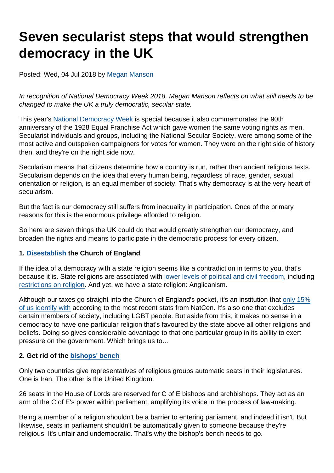# Seven secularist steps that would strengthen democracy in the UK

Posted: Wed, 04 Jul 2018 by [Megan Manson](https://www.secularism.org.uk/opinion/authors/971)

In recognition of National Democracy Week 2018, Megan Manson reflects on what still needs to be changed to make the UK a truly democratic, secular state.

This year's [National Democracy Week](https://democracyweek.campaign.gov.uk/) is special because it also commemorates the 90th anniversary of the 1928 Equal Franchise Act which gave women the same voting rights as men. Secularist individuals and groups, including the National Secular Society, were among some of the most active and outspoken campaigners for votes for women. They were on the right side of history then, and they're on the right side now.

Secularism means that citizens determine how a country is run, rather than ancient religious texts. Secularism depends on the idea that every human being, regardless of race, gender, sexual orientation or religion, is an equal member of society. That's why democracy is at the very heart of secularism.

But the fact is our democracy still suffers from inequality in participation. Once of the primary reasons for this is the enormous privilege afforded to religion.

So here are seven things the UK could do that would greatly strengthen our democracy, and broaden the rights and means to participate in the democratic process for every citizen.

1. [Disestablish](https://www.secularism.org.uk/disestablishment/) the Church of England

If the idea of a democracy with a state religion seems like a contradiction in terms to you, that's because it is. State religions are associated with [lower levels of political and civil freedom](https://www.secularism.org.uk/opinion/2013/04/where-there-is-state-religion-there-is-less-freedom), including [restrictions on religion.](https://www.secularism.org.uk/news/2017/10/restrictions-on-religion-higher-in-countries-with-official-religions-report-finds) And yet, we have a state religion: Anglicanism.

Although our taxes go straight into the Church of England's pocket, it's an institution that [only 15%](https://www.secularism.org.uk/news/2017/09/more-than-half-of-brits-now-non-religious-study-finds) [of us identify with](https://www.secularism.org.uk/news/2017/09/more-than-half-of-brits-now-non-religious-study-finds) according to the most recent stats from NatCen. It's also one that excludes certain members of society, including LGBT people. But aside from this, it makes no sense in a democracy to have one particular religion that's favoured by the state above all other religions and beliefs. Doing so gives considerable advantage to that one particular group in its ability to exert pressure on the government. Which brings us to…

#### 2. Get rid of the [bishops' bench](https://www.secularism.org.uk/scrap-bishops-bench/)

Only two countries give representatives of religious groups automatic seats in their legislatures. One is Iran. The other is the United Kingdom.

26 seats in the House of Lords are reserved for C of E bishops and archbishops. They act as an arm of the C of E's power within parliament, amplifying its voice in the process of law-making.

Being a member of a religion shouldn't be a barrier to entering parliament, and indeed it isn't. But likewise, seats in parliament shouldn't be automatically given to someone because they're religious. It's unfair and undemocratic. That's why the bishop's bench needs to go.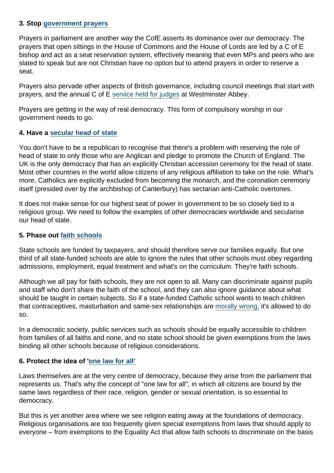#### 3. Stop [government prayers](https://www.secularism.org.uk/scrap-bishops-bench/)

Prayers in parliament are another way the CofE asserts its dominance over our democracy. The prayers that open sittings in the House of Commons and the House of Lords are led by a C of E bishop and act as a seat reservation system, effectively meaning that even MPs and peers who are slated to speak but are not Christian have no option but to attend prayers in order to reserve a seat.

Prayers also pervade other aspects of British governance, including council meetings that start with prayers, and the annual C of E [service held for judges](https://www.secularism.org.uk/news/2017/09/nss-calls-for-end-of-anglican-judges-services) at Westminster Abbey.

Prayers are getting in the way of real democracy. This form of compulsory worship in our government needs to go.

### 4. Have a [secular head of state](https://www.secularism.org.uk/head-of-state/)

You don't have to be a republican to recognise that there's a problem with reserving the role of head of state to only those who are Anglican and pledge to promote the Church of England. The UK is the only democracy that has an explicitly Christian accession ceremony for the head of state. Most other countries in the world allow citizens of any religious affiliation to take on the role. What's more, Catholics are explicitly excluded from becoming the monarch, and the coronation ceremony itself (presided over by the archbishop of Canterbury) has sectarian anti-Catholic overtones.

It does not make sense for our highest seat of power in government to be so closely tied to a religious group. We need to follow the examples of other democracies worldwide and secularise our head of state.

#### 5. Phase out [faith schools](https://www.secularism.org.uk/faith-schools/)

State schools are funded by taxpayers, and should therefore serve our families equally. But one third of all state-funded schools are able to ignore the rules that other schools must obey regarding admissions, employment, equal treatment and what's on the curriculum. They're faith schools.

Although we all pay for faith schools, they are not open to all. Many can discriminate against pupils and staff who don't share the faith of the school, and they can also ignore guidance about what should be taught in certain subjects. So if a state-funded Catholic school wants to teach children that contraceptives, masturbation and same-sex relationships are [morally wrong,](https://www.secularism.org.uk/sex-education/) it's allowed to do so.

In a democratic society, public services such as schools should be equally accessible to children from families of all faiths and none, and no state school should be given exemptions from the laws binding all other schools because of religious considerations.

#### 6. Protect the idea of ' [one law for all'](https://www.secularism.org.uk/equality/)

Laws themselves are at the very centre of democracy, because they arise from the parliament that represents us. That's why the concept of "one law for all", in which all citizens are bound by the same laws regardless of their race, religion, gender or sexual orientation, is so essential to democracy.

But this is yet another area where we see religion eating away at the foundations of democracy. Religious organisations are too frequently given special exemptions from laws that should apply to everyone – from exemptions to the Equality Act that allow faith schools to discriminate on the basis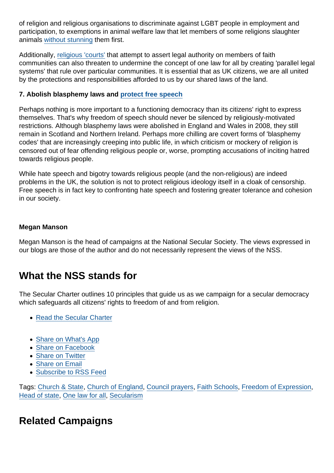of religion and religious organisations to discriminate against LGBT people in employment and participation, to exemptions in animal welfare law that let members of some religions slaughter animals [without stunning](https://www.secularism.org.uk/religious-slaughter/) them first.

Additionally, [religious 'courts'](https://www.secularism.org.uk/one-law-for-all/) that attempt to assert legal authority on members of faith communities can also threaten to undermine the concept of one law for all by creating 'parallel legal systems' that rule over particular communities. It is essential that as UK citizens, we are all united by the protections and responsibilities afforded to us by our shared laws of the land.

7. Abolish blasphemy laws and [protect free speech](https://www.secularism.org.uk/freedom-of-expression/)

Perhaps nothing is more important to a functioning democracy than its citizens' right to express themselves. That's why freedom of speech should never be silenced by religiously-motivated restrictions. Although blasphemy laws were abolished in England and Wales in 2008, they still remain in Scotland and Northern Ireland. Perhaps more chilling are covert forms of 'blasphemy codes' that are increasingly creeping into public life, in which criticism or mockery of religion is censored out of fear offending religious people or, worse, prompting accusations of inciting hatred towards religious people.

While hate speech and bigotry towards religious people (and the non-religious) are indeed problems in the UK, the solution is not to protect religious ideology itself in a cloak of censorship. Free speech is in fact key to confronting hate speech and fostering greater tolerance and cohesion in our society.

### Megan Manson

Megan Manson is the head of campaigns at the National Secular Society. The views expressed in our blogs are those of the author and do not necessarily represent the views of the NSS.

# What the NSS stands for

The Secular Charter outlines 10 principles that guide us as we campaign for a secular democracy which safeguards all citizens' rights to freedom of and from religion.

- [Read the Secular Charter](https://www.secularism.org.uk/the-secular-charter.html)
- [Share on What's App](whatsapp://send?text=http://www.secularism.org.uk/opinion/2018/07/seven-secularist-steps-that-would-strengthen-democracy-in-the-uk?format=pdf)
- [Share on Facebook](https://www.facebook.com/sharer/sharer.php?u=http://www.secularism.org.uk/opinion/2018/07/seven-secularist-steps-that-would-strengthen-democracy-in-the-uk?format=pdf&t=Seven+secularist+steps+that+would+strengthen+democracy+in+the+UK)
- [Share on Twitter](https://twitter.com/intent/tweet?url=http://www.secularism.org.uk/opinion/2018/07/seven-secularist-steps-that-would-strengthen-democracy-in-the-uk?format=pdf&text=Seven+secularist+steps+that+would+strengthen+democracy+in+the+UK&via=NatSecSoc)
- [Share on Email](https://www.secularism.org.uk/share.html?url=http://www.secularism.org.uk/opinion/2018/07/seven-secularist-steps-that-would-strengthen-democracy-in-the-uk?format=pdf&title=Seven+secularist+steps+that+would+strengthen+democracy+in+the+UK)
- [Subscribe to RSS Feed](/mnt/web-data/www/cp-nss/feeds/rss/news)

Tags: [Church & State,](https://www.secularism.org.uk/opinion/tags/Church+&+State) [Church of England,](https://www.secularism.org.uk/opinion/tags/Church+of+England) [Council prayers,](https://www.secularism.org.uk/opinion/tags/Council+prayers) [Faith Schools](https://www.secularism.org.uk/opinion/tags/Faith+Schools), [Freedom of Expression,](https://www.secularism.org.uk/opinion/tags/Freedom+of+Expression) [Head of state](https://www.secularism.org.uk/opinion/tags/Head+of+state), [One law for all,](https://www.secularism.org.uk/opinion/tags/One+law+for+all) [Secularism](https://www.secularism.org.uk/opinion/tags/Secularism)

# Related Campaigns